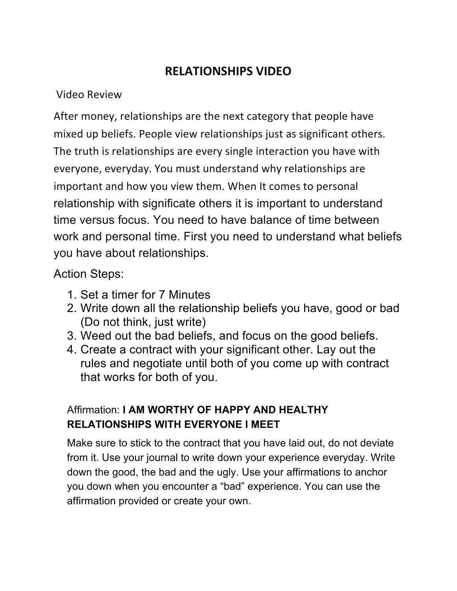## **RELATIONSHIPS VIDEO**

## Video Review

After money, relationships are the next category that people have mixed up beliefs. People view relationships just as significant others. The truth is relationships are every single interaction you have with everyone, everyday. You must understand why relationships are important and how you view them. When It comes to personal relationship with significate others it is important to understand time versus focus. You need to have balance of time between work and personal time. First you need to understand what beliefs you have about relationships.

## Action Steps:

- 1. Set a timer for 7 Minutes
- 2. Write down all the relationship beliefs you have, good or bad (Do not think, just write)
- 3. Weed out the bad beliefs, and focus on the good beliefs.
- 4. Create a contract with your significant other. Lay out the rules and negotiate until both of you come up with contract that works for both of you.

## Affirmation: **I AM WORTHY OF HAPPY AND HEALTHY RELATIONSHIPS WITH EVERYONE I MEET**

Make sure to stick to the contract that you have laid out, do not deviate from it. Use your journal to write down your experience everyday. Write down the good, the bad and the ugly. Use your affirmations to anchor you down when you encounter a "bad" experience. You can use the affirmation provided or create your own.